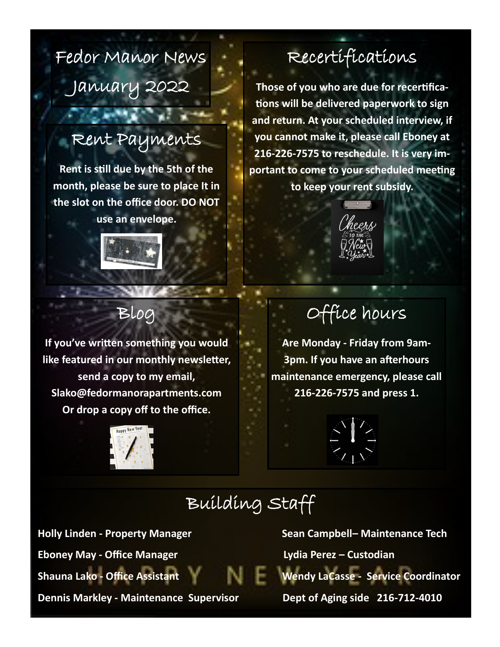Fedor Manor News January 2022

#### Rent Payments

**Rent is still due by the 5th of the month, please be sure to place It in the slot on the office door. DO NOT use an envelope.**



### Recertifications

**Those of you who are due for recertifications will be delivered paperwork to sign and return. At your scheduled interview, if you cannot make it, please call Eboney at 216-226-7575 to reschedule. It is very important to come to your scheduled meeting to keep your rent subsidy.**



#### Blog

**If you've written something you would like featured in our monthly newsletter, send a copy to my email, Slako@fedormanorapartments.com Or drop a copy off to the office.**



### Office hours

**Are Monday - Friday from 9am-3pm. If you have an afterhours maintenance emergency, please call 216-226-7575 and press 1.**



### Building Staff

**Eboney May - Office Manager Lydia Perez – Custodian** 

**Holly Linden - Property Manager Sean Campbell– Maintenance Tech <b>Sean Campbell Shauna Lako - Office Assistant Wendy LaCasse - Service Coordinator**

**Dennis Markley - Maintenance Supervisor Dept of Aging side 216-712-4010**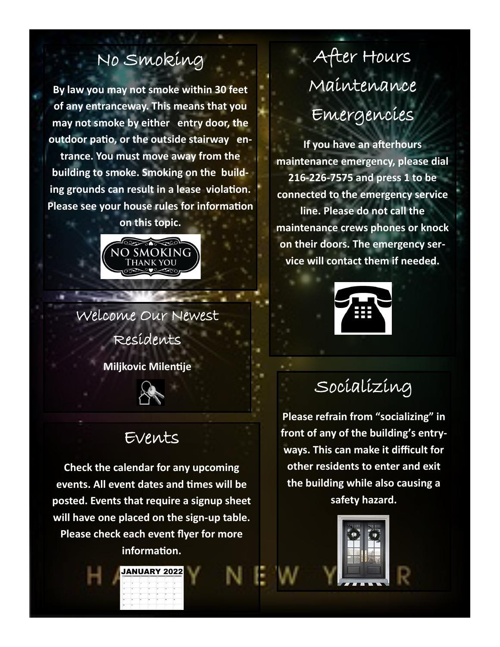### No Smoking

**By law you may not smoke within 30 feet of any entranceway. This means that you may not smoke by either entry door, the outdoor patio, or the outside stairway entrance. You must move away from the building to smoke. Smoking on the building grounds can result in a lease violation. Please see your house rules for information** 

**on this topic.**



Welcome Our Newest Residents

**Miljkovic Milentije**



#### Events

**Check the calendar for any upcoming events. All event dates and times will be posted. Events that require a signup sheet will have one placed on the sign-up table. Please check each event flyer for more information.**

**JANUARY 2022** 

## After Hours Maintenance Emergencies

**If you have an afterhours maintenance emergency, please dial 216-226-7575 and press 1 to be connected to the emergency service line. Please do not call the maintenance crews phones or knock on their doors. The emergency service will contact them if needed.**



Socializing

**Please refrain from "socializing" in front of any of the building's entryways. This can make it difficult for other residents to enter and exit the building while also causing a safety hazard.**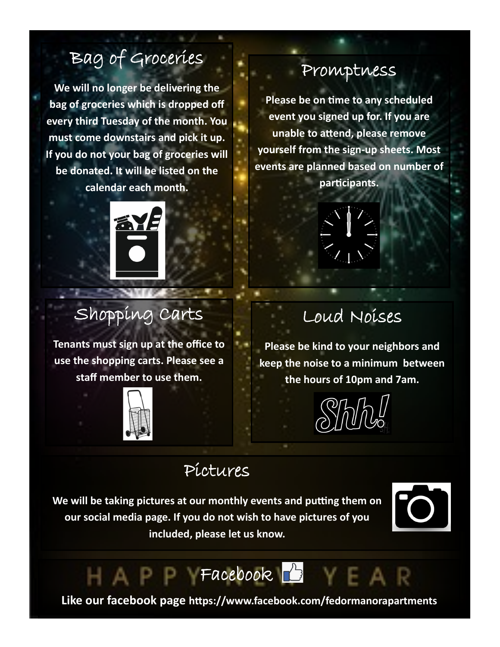### Bag of Groceries

**We will no longer be delivering the bag of groceries which is dropped off every third Tuesday of the month. You must come downstairs and pick it up. If you do not your bag of groceries will be donated. It will be listed on the calendar each month.** 



### Shopping Carts

**Tenants must sign up at the office to use the shopping carts. Please see a staff member to use them.**



#### Promptness

**Please be on time to any scheduled event you signed up for. If you are unable to attend, please remove yourself from the sign-up sheets. Most events are planned based on number of participants.**



### Loud Noises

**Please be kind to your neighbors and keep the noise to a minimum between the hours of 10pm and 7am.**

#### Pictures

**We will be taking pictures at our monthly events and putting them on our social media page. If you do not wish to have pictures of you included, please let us know.**



Facebook **B** 

**Like our facebook page https://www.facebook.com/fedormanorapartments**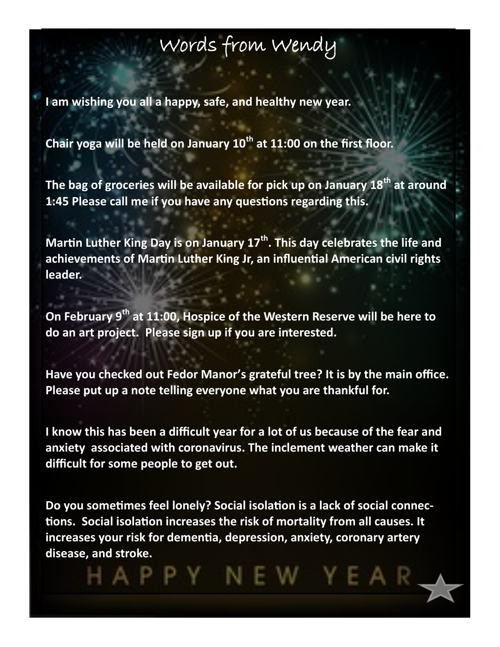### Words from Wendy

**I am wishing you all a happy, safe, and healthy new year.** 

**Chair yoga will be held on January 10th at 11:00 on the first floor.**

**The bag of groceries will be available for pick up on January 18th at around 1:45 Please call me if you have any questions regarding this.**

**Martin Luther King Day is on January 17th. This day celebrates the life and achievements of Martin Luther King Jr, an influential American civil rights leader.** 

**On February 9th at 11:00, Hospice of the Western Reserve will be here to do an art project. Please sign up if you are interested.**

**Have you checked out Fedor Manor's grateful tree? It is by the main office. Please put up a note telling everyone what you are thankful for.** 

**I know this has been a difficult year for a lot of us because of the fear and anxiety associated with coronavirus. The inclement weather can make it difficult for some people to get out.**

**Do you sometimes feel lonely? Social isolation is a lack of social connections. Social isolation increases the risk of mortality from all causes. It increases your risk for dementia, depression, anxiety, coronary artery disease, and stroke.**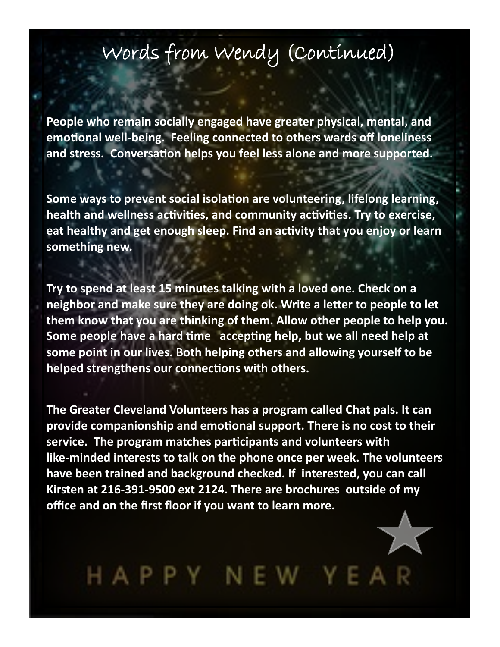### Words from Wendy (Continued)

**People who remain socially engaged have greater physical, mental, and emotional well-being. Feeling connected to others wards off loneliness and stress. Conversation helps you feel less alone and more supported.**

**Some ways to prevent social isolation are volunteering, lifelong learning, health and wellness activities, and community activities. Try to exercise, eat healthy and get enough sleep. Find an activity that you enjoy or learn something new.** 

**Try to spend at least 15 minutes talking with a loved one. Check on a neighbor and make sure they are doing ok. Write a letter to people to let them know that you are thinking of them. Allow other people to help you. Some people have a hard time accepting help, but we all need help at some point in our lives. Both helping others and allowing yourself to be helped strengthens our connections with others.** 

**The Greater Cleveland Volunteers has a program called Chat pals. It can provide companionship and emotional support. There is no cost to their service. The program matches participants and volunteers with like-minded interests to talk on the phone once per week. The volunteers have been trained and background checked. If interested, you can call Kirsten at 216-391-9500 ext 2124. There are brochures outside of my office and on the first floor if you want to learn more.**

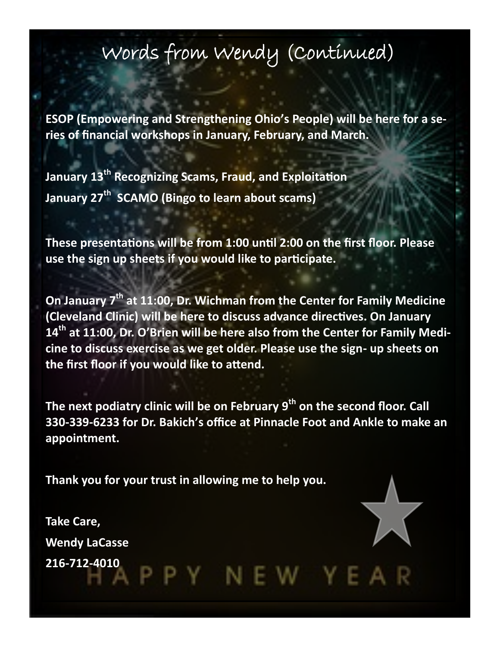### Words from Wendy (Continued)

**ESOP (Empowering and Strengthening Ohio's People) will be here for a series of financial workshops in January, February, and March.**

**January 13th Recognizing Scams, Fraud, and Exploitation January 27th SCAMO (Bingo to learn about scams)**

**These presentations will be from 1:00 until 2:00 on the first floor. Please use the sign up sheets if you would like to participate.**

**On January 7th at 11:00, Dr. Wichman from the Center for Family Medicine (Cleveland Clinic) will be here to discuss advance directives. On January 14th at 11:00, Dr. O'Brien will be here also from the Center for Family Medicine to discuss exercise as we get older. Please use the sign- up sheets on the first floor if you would like to attend.** 

**The next podiatry clinic will be on February 9th on the second floor. Call 330-339-6233 for Dr. Bakich's office at Pinnacle Foot and Ankle to make an appointment.**

**Thank you for your trust in allowing me to help you.**

**Take Care, Wendy LaCasse 216-712-4010**

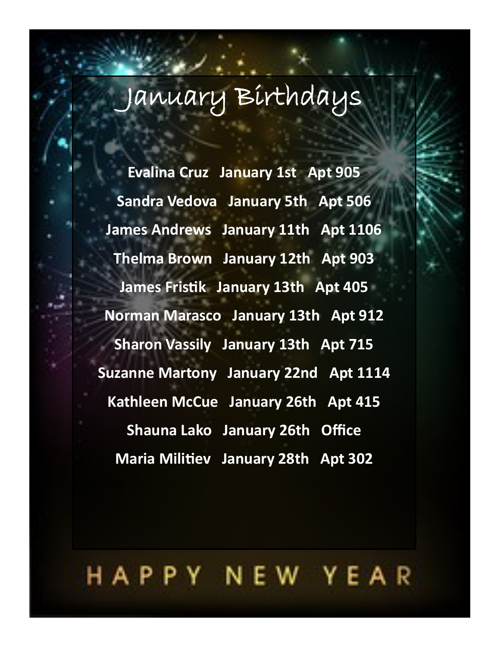# January Birthdays

**Evalina Cruz January 1st Apt 905 Sandra Vedova January 5th Apt 506 James Andrews January 11th Apt 1106 Thelma Brown January 12th Apt 903 James Fristik January 13th Apt 405 Norman Marasco January 13th Apt 912 Sharon Vassily January 13th Apt 715 Suzanne Martony January 22nd Apt 1114 Kathleen McCue January 26th Apt 415 Shauna Lako January 26th Office Maria Militiev January 28th Apt 302**

## HAPPY NEW YEAR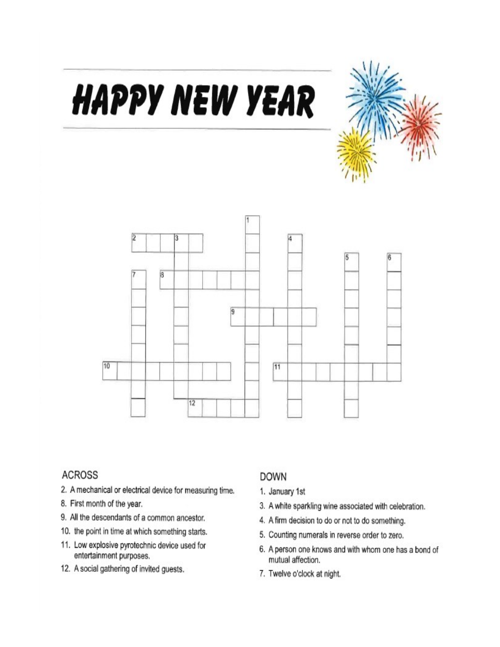

### B 3 ū  $\overline{6}$  $\overline{3}$  $\overline{9}$ 10  $\overline{11}$  $12$

**HAPPY NEW YEAR** 

#### **ACROSS**

- 2. A mechanical or electrical device for measuring time.
- 8. First month of the year.
- 9. All the descendants of a common ancestor.
- 10. the point in time at which something starts.
- 11. Low explosive pyrotechnic device used for entertainment purposes.
- 12. A social gathering of invited guests.

#### **DOWN**

- 1. January 1st
- 3. A white sparkling wine associated with celebration.
- 4. A firm decision to do or not to do something.
- 5. Counting numerals in reverse order to zero.
- 6. A person one knows and with whom one has a bond of mutual affection.
- 7. Twelve o'clock at night.